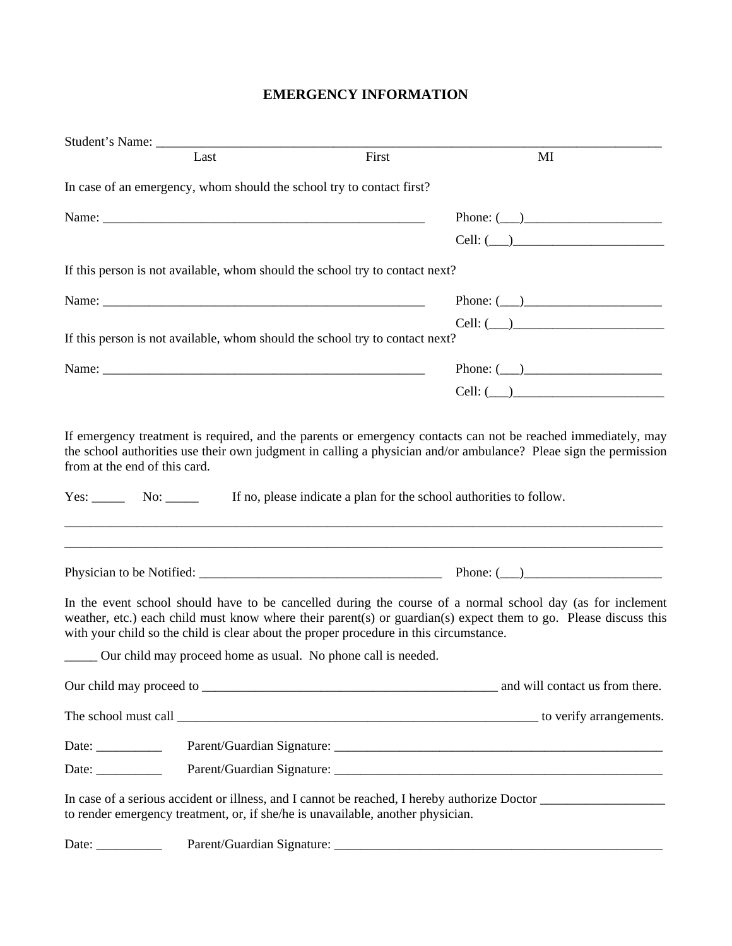## **EMERGENCY INFORMATION**

| Last                                                                                   | First | MI                                                                                                                                                                                                                            |
|----------------------------------------------------------------------------------------|-------|-------------------------------------------------------------------------------------------------------------------------------------------------------------------------------------------------------------------------------|
| In case of an emergency, whom should the school try to contact first?                  |       |                                                                                                                                                                                                                               |
|                                                                                        |       | Phone: $(\_\_)$                                                                                                                                                                                                               |
|                                                                                        |       | $Cell: (\_\_)$                                                                                                                                                                                                                |
| If this person is not available, whom should the school try to contact next?           |       |                                                                                                                                                                                                                               |
|                                                                                        |       | Phone: $(\_\_)$                                                                                                                                                                                                               |
|                                                                                        |       | $Cell: (\_\_)$                                                                                                                                                                                                                |
| If this person is not available, whom should the school try to contact next?           |       |                                                                                                                                                                                                                               |
|                                                                                        |       | Phone: $(\_\_)$                                                                                                                                                                                                               |
|                                                                                        |       | Cell: (                                                                                                                                                                                                                       |
|                                                                                        |       |                                                                                                                                                                                                                               |
|                                                                                        |       |                                                                                                                                                                                                                               |
| with your child so the child is clear about the proper procedure in this circumstance. |       | In the event school should have to be cancelled during the course of a normal school day (as for inclement<br>weather, etc.) each child must know where their parent(s) or guardian(s) expect them to go. Please discuss this |
| ______ Our child may proceed home as usual. No phone call is needed.                   |       |                                                                                                                                                                                                                               |
|                                                                                        |       |                                                                                                                                                                                                                               |
|                                                                                        |       |                                                                                                                                                                                                                               |
| Date: $\frac{1}{\sqrt{1-\frac{1}{2}}\cdot\frac{1}{2}}$                                 |       |                                                                                                                                                                                                                               |
| Date: $\frac{1}{\sqrt{1-\frac{1}{2}} \cdot \frac{1}{2}}$                               |       |                                                                                                                                                                                                                               |
| to render emergency treatment, or, if she/he is unavailable, another physician.        |       |                                                                                                                                                                                                                               |
|                                                                                        |       |                                                                                                                                                                                                                               |